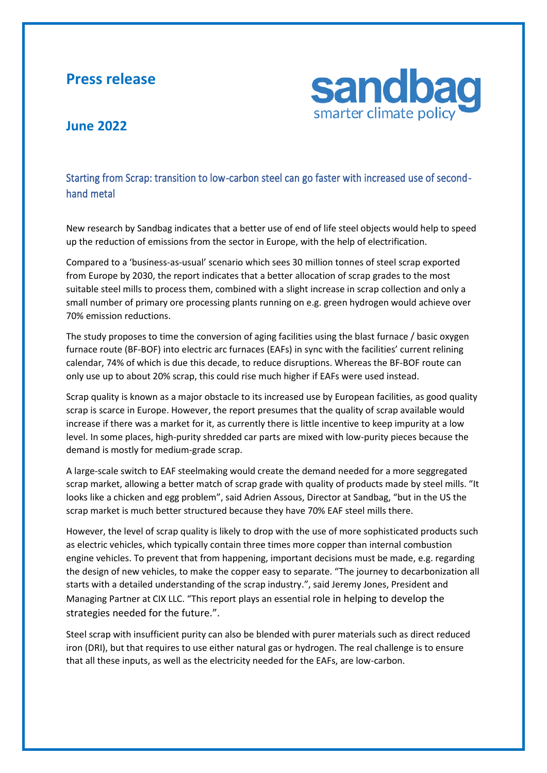## **Press release**



## **June 2022**

## Starting from Scrap: transition to low-carbon steel can go faster with increased use of secondhand metal

New research by Sandbag indicates that a better use of end of life steel objects would help to speed up the reduction of emissions from the sector in Europe, with the help of electrification.

Compared to a 'business-as-usual' scenario which sees 30 million tonnes of steel scrap exported from Europe by 2030, the report indicates that a better allocation of scrap grades to the most suitable steel mills to process them, combined with a slight increase in scrap collection and only a small number of primary ore processing plants running on e.g. green hydrogen would achieve over 70% emission reductions.

The study proposes to time the conversion of aging facilities using the blast furnace / basic oxygen furnace route (BF-BOF) into electric arc furnaces (EAFs) in sync with the facilities' current relining calendar, 74% of which is due this decade, to reduce disruptions. Whereas the BF-BOF route can only use up to about 20% scrap, this could rise much higher if EAFs were used instead.

Scrap quality is known as a major obstacle to its increased use by European facilities, as good quality scrap is scarce in Europe. However, the report presumes that the quality of scrap available would increase if there was a market for it, as currently there is little incentive to keep impurity at a low level. In some places, high-purity shredded car parts are mixed with low-purity pieces because the demand is mostly for medium-grade scrap.

A large-scale switch to EAF steelmaking would create the demand needed for a more seggregated scrap market, allowing a better match of scrap grade with quality of products made by steel mills. "It looks like a chicken and egg problem", said Adrien Assous, Director at Sandbag, "but in the US the scrap market is much better structured because they have 70% EAF steel mills there.

However, the level of scrap quality is likely to drop with the use of more sophisticated products such as electric vehicles, which typically contain three times more copper than internal combustion engine vehicles. To prevent that from happening, important decisions must be made, e.g. regarding the design of new vehicles, to make the copper easy to separate. "The journey to decarbonization all starts with a detailed understanding of the scrap industry.", said Jeremy Jones, President and Managing Partner at CIX LLC. "This report plays an essential role in helping to develop the strategies needed for the future.".

Steel scrap with insufficient purity can also be blended with purer materials such as direct reduced iron (DRI), but that requires to use either natural gas or hydrogen. The real challenge is to ensure that all these inputs, as well as the electricity needed for the EAFs, are low-carbon.